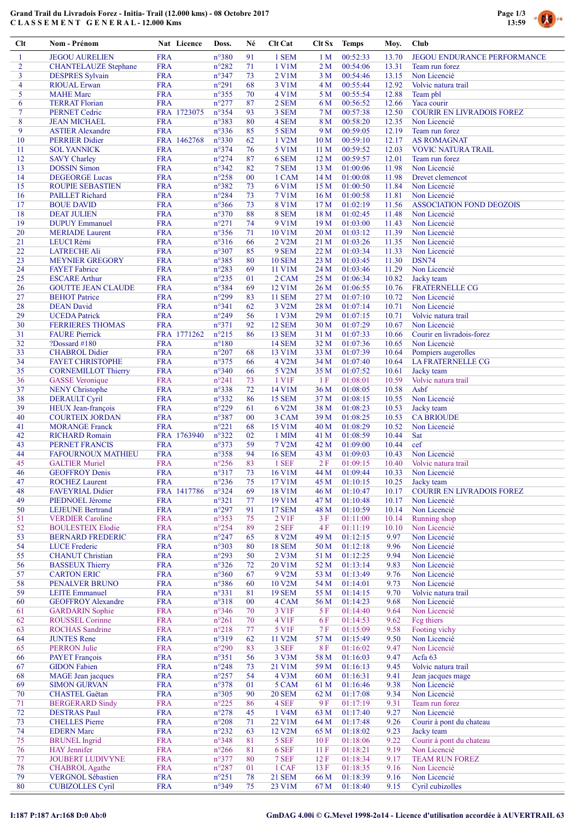# Grand Trail du Livradois Forez - Initia- Trail (12.000 kms) - 08 Octobre 2017 C L A S S E M E N T G E N E R A L - 12.000 Kms



| Clt            | Nom - Prénom                                      |                          | Nat Licence | Doss.                            | Né       | <b>Clt Cat</b>   | Clt Sx                  | <b>Temps</b>         | Moy.           | Club                                     |
|----------------|---------------------------------------------------|--------------------------|-------------|----------------------------------|----------|------------------|-------------------------|----------------------|----------------|------------------------------------------|
| $\mathbf{1}$   | <b>JEGOU AURELIEN</b>                             | <b>FRA</b>               |             | $n^{\circ}380$                   | 91       | 1 SEM            | 1 <sub>M</sub>          | 00:52:33             | 13.70          | <b>JEGOU ENDURANCE PERFORMANCE</b>       |
| $\overline{2}$ | <b>CHANTELAUZE</b> Stephane                       | <b>FRA</b>               |             | $n^{\circ}282$                   | 71       | 1 V1M            | 2 <sub>M</sub>          | 00:54:06             | 13.31          | Team run forez                           |
| 3              | <b>DESPRES</b> Sylvain                            | <b>FRA</b>               |             | n°347                            | 73       | 2 V1M            | 3 <sub>M</sub>          | 00:54:46             | 13.15          | Non Licencié                             |
| 4<br>5         | <b>RIOUAL Erwan</b><br><b>MAHE</b> Marc           | <b>FRA</b><br><b>FRA</b> |             | $n^{\circ}291$<br>$n^{\circ}355$ | 68<br>70 | 3 V1M<br>4 V1M   | 4 M<br>5 M              | 00:55:44<br>00:55:54 | 12.92<br>12.88 | Volvic natura trail<br>Team pbl          |
| 6              | <b>TERRAT Florian</b>                             | <b>FRA</b>               |             | $n^{\circ}277$                   | 87       | 2 SEM            | 6 M                     | 00:56:52             | 12.66          | Yaca courir                              |
| $\overline{7}$ | <b>PERNET Cedric</b>                              |                          | FRA 1723075 | n°354                            | 93       | 3 SEM            | 7 <sub>M</sub>          | 00:57:38             | 12.50          | <b>COURIR EN LIVRADOIS FOREZ</b>         |
| 8              | <b>JEAN MICHAEL</b>                               | <b>FRA</b>               |             | n°383                            | 80       | 4 SEM            | 8 M                     | 00:58:20             | 12.35          | Non Licencié                             |
| 9              | <b>ASTIER Alexandre</b>                           | <b>FRA</b>               |             | n°336                            | 85       | 5 SEM            | 9 M                     | 00:59:05             | 12.19          | Team run forez                           |
| 10             | <b>PERRIER Didier</b>                             |                          | FRA 1462768 | n°330                            | 62       | 1 V2M            | 10 <sub>M</sub>         | 00:59:10             | 12.17          | <b>AS ROMAGNAT</b>                       |
| 11             | <b>SOL YANNICK</b>                                | <b>FRA</b>               |             | n°374                            | 76       | 5 V1M            | 11 <sub>M</sub>         | 00:59:52             | 12.03          | <b>VOVIC NATURA TRAIL</b>                |
| 12<br>13       | <b>SAVY Charley</b><br><b>DOSSIN</b> Simon        | <b>FRA</b><br><b>FRA</b> |             | $n^{\circ}274$<br>$n^{\circ}342$ | 87<br>82 | 6 SEM<br>7 SEM   | 12 <sub>M</sub><br>13 M | 00:59:57<br>01:00:06 | 12.01<br>11.98 | Team run forez<br>Non Licencié           |
| 14             | <b>DEGEORGE Lucas</b>                             | <b>FRA</b>               |             | $n^{\circ}258$                   | $00\,$   | 1 CAM            | 14M                     | 01:00:08             | 11.98          | Drevet clemencot                         |
| 15             | <b>ROUPIE SEBASTIEN</b>                           | <b>FRA</b>               |             | n°382                            | 73       | 6 V1M            | 15 M                    | 01:00:50             | 11.84          | Non Licencié                             |
| 16             | <b>PAILLET</b> Richard                            | <b>FRA</b>               |             | $n^{\circ}284$                   | 73       | <b>7 V1M</b>     | 16 <sub>M</sub>         | 01:00:58             | 11.81          | Non Licencié                             |
| 17             | <b>BOUE DAVID</b>                                 | <b>FRA</b>               |             | $n^{\circ}366$                   | 73       | <b>8 V1M</b>     | 17 <sub>M</sub>         | 01:02:19             | 11.56          | <b>ASSOCIATION FOND DEOZOIS</b>          |
| 18             | <b>DEAT JULIEN</b>                                | <b>FRA</b>               |             | $n^{\circ}370$                   | 88       | 8 SEM            | 18 M                    | 01:02:45             | 11.48          | Non Licencié                             |
| 19             | <b>DUPUY</b> Emmanuel                             | <b>FRA</b>               |             | $n^{\circ}271$                   | 74       | 9 V1M            | 19 <sub>M</sub>         | 01:03:00             | 11.43          | Non Licencié                             |
| 20             | <b>MERIADE</b> Laurent                            | <b>FRA</b>               |             | $n^{\circ}356$                   | 71<br>66 | 10 V1M           | 20 <sub>M</sub>         | 01:03:12             | 11.39          | Non Licencié                             |
| 21<br>22       | LEUCI Rémi<br><b>LATRECHE Ali</b>                 | <b>FRA</b><br><b>FRA</b> |             | $n^{\circ}316$<br>n°307          | 85       | 2 V2M<br>9 SEM   | 21 M<br>22 M            | 01:03:26<br>01:03:34 | 11.35<br>11.33 | Non Licencié<br>Non Licencié             |
| 23             | <b>MEYNIER GREGORY</b>                            | <b>FRA</b>               |             | n°385                            | 80       | <b>10 SEM</b>    | 23 M                    | 01:03:45             | 11.30          | DSN74                                    |
| 24             | <b>FAYET</b> Fabrice                              | <b>FRA</b>               |             | $n^{\circ}283$                   | 69       | 11 V1M           | 24 M                    | 01:03:46             | 11.29          | Non Licencié                             |
| 25             | <b>ESCARE</b> Arthur                              | <b>FRA</b>               |             | $n^{\circ}235$                   | 01       | 2 CAM            | 25 M                    | 01:06:34             | 10.82          | Jacky team                               |
| 26             | <b>GOUTTE JEAN CLAUDE</b>                         | <b>FRA</b>               |             | n°384                            | 69       | 12 V1M           | 26 M                    | 01:06:55             | 10.76          | <b>FRATERNELLE CG</b>                    |
| 27             | <b>BEHOT</b> Patrice                              | <b>FRA</b>               |             | n°299                            | 83       | <b>11 SEM</b>    | 27 M                    | 01:07:10             | 10.72          | Non Licencié                             |
| 28             | <b>DEAN</b> David                                 | <b>FRA</b>               |             | $n^{\circ}341$                   | 62       | 3 V2M            | 28 M                    | 01:07:14             | 10.71          | Non Licencié                             |
| 29<br>30       | <b>UCEDA</b> Patrick<br><b>FERRIERES THOMAS</b>   | <b>FRA</b><br><b>FRA</b> |             | $n^{\circ}249$<br>n°371          | 56<br>92 | 1 V3M<br>12 SEM  | 29 M<br>30 M            | 01:07:15<br>01:07:29 | 10.71<br>10.67 | Volvic natura trail<br>Non Licencié      |
| 31             | <b>FAURE Pierrick</b>                             |                          | FRA 1771262 | $n^{\circ}215$                   | 86       | 13 SEM           | 31 M                    | 01:07:33             | 10.66          | Courir en livradois-forez                |
| 32             | ?Dossard $#180$                                   | <b>FRA</b>               |             | $n^{\circ}180$                   |          | <b>14 SEM</b>    | 32 M                    | 01:07:36             | 10.65          | Non Licencié                             |
| 33             | <b>CHABROL</b> Didier                             | <b>FRA</b>               |             | $n^{\circ}207$                   | 68       | 13 V1M           | 33 M                    | 01:07:39             | 10.64          | Pompiers augerolles                      |
| 34             | <b>FAYET CHRISTOPHE</b>                           | <b>FRA</b>               |             | $n^{\circ}375$                   | 66       | 4 V2M            | 34 M                    | 01:07:40             | 10.64          | <b>LA FRATERNELLE CG</b>                 |
| 35             | <b>CORNEMILLOT Thierry</b>                        | <b>FRA</b>               |             | $n^{\circ}340$                   | 66       | 5 V2M            | 35 M                    | 01:07:52             | 10.61          | Jacky team                               |
| 36             | <b>GASSE</b> Veronique                            | <b>FRA</b>               |             | $n^{\circ}241$                   | 73       | 1 V1F            | 1F                      | 01:08:01             | 10.59          | Volvic natura trail                      |
| 37             | <b>NENY Christophe</b>                            | <b>FRA</b>               |             | n°338                            | 72       | 14 V1M           | 36 M                    | 01:08:05             | 10.58          | Asbf                                     |
| 38<br>39       | <b>DERAULT Cyril</b><br>HEUX Jean-françois        | <b>FRA</b><br><b>FRA</b> |             | n°332<br>$n^{\circ}229$          | 86<br>61 | 15 SEM<br>6 V2M  | 37 M<br>38 M            | 01:08:15<br>01:08:23 | 10.55<br>10.53 | Non Licencié<br>Jacky team               |
| 40             | <b>COURTEIX JORDAN</b>                            | <b>FRA</b>               |             | n°387                            | 00       | 3 CAM            | 39 M                    | 01:08:25             | 10.53          | <b>CA BRIOUDE</b>                        |
| 41             | <b>MORANGE Franck</b>                             | <b>FRA</b>               |             | $n^{\circ}221$                   | 68       | 15 V1M           | 40 M                    | 01:08:29             | 10.52          | Non Licencié                             |
| 42             | <b>RICHARD Romain</b>                             |                          | FRA 1763940 | $n^{\circ}322$                   | 02       | 1 MIM            | 41 M                    | 01:08:59             | 10.44          | Sat                                      |
| 43             | <b>PERNET FRANCIS</b>                             | <b>FRA</b>               |             | n°373                            | 59       | 7 V2M            | 42 M                    | 01:09:00             | 10.44          | cef                                      |
| 44             | <b>FAFOURNOUX MATHIEU</b>                         | <b>FRA</b>               |             | $n^{\circ}358$                   | 94       | <b>16 SEM</b>    | 43 M                    | 01:09:03             | 10.43          | Non Licencié                             |
| 45             | <b>GALTIER Muriel</b>                             | <b>FRA</b>               |             | $n^{\circ}256$                   | 83       | 1 SEF            | 2F                      | 01:09:15             | 10.40          | Volvic natura trail                      |
| 46<br>47       | <b>GEOFFROY Denis</b>                             | <b>FRA</b><br><b>FRA</b> |             | n°317<br>$n^{\circ}236$          | 73<br>75 | 16 V1M<br>17 V1M | 44 M<br>45 M            | 01:09:44<br>01:10:15 | 10.33          | Non Licencié<br>Jacky team               |
| 48             | <b>ROCHEZ Laurent</b><br><b>FAVEYRIAL Didier</b>  |                          | FRA 1417786 | $n^{\circ}324$                   | 69       | 18 V1M           | 46 M                    | 01:10:47             | 10.25<br>10.17 | <b>COURIR EN LIVRADOIS FOREZ</b>         |
| 49             | PIEDNOEL Jérome                                   | <b>FRA</b>               |             | $n^{\circ}321$                   | 77       | 19 V1M           | 47 M                    | 01:10:48             | 10.17          | Non Licencié                             |
| 50             | <b>LEJEUNE Bertrand</b>                           | <b>FRA</b>               |             | $n^{\circ}297$                   | 91       | <b>17 SEM</b>    | 48 M                    | 01:10:59             | 10.14          | Non Licencié                             |
| 51             | <b>VERDIER Caroline</b>                           | <b>FRA</b>               |             | $n^{\circ}353$                   | 75       | 2 V1F            | 3F                      | 01:11:00             | 10.14          | Running shop                             |
| 52             | <b>BOULESTEIX Elodie</b>                          | <b>FRA</b>               |             | $n^{\circ}254$                   | 89       | $2$ SEF $\,$     | 4F                      | 01:11:19             | 10.10          | Non Licencié                             |
| 53             | <b>BERNARD FREDERIC</b>                           | <b>FRA</b>               |             | $n^{\circ}247$                   | 65       | 8 V2M            | 49 M                    | 01:12:15             | 9.97           | Non Licencié                             |
| 54             | <b>LUCE</b> Frederic                              | <b>FRA</b>               |             | $n^{\circ}303$                   | 80       | <b>18 SEM</b>    | 50 M                    | 01:12:18             | 9.96           | Non Licencié                             |
| 55<br>56       | <b>CHANUT Christian</b><br><b>BASSEUX Thierry</b> | <b>FRA</b><br><b>FRA</b> |             | $n^{\circ}293$<br>$n^{\circ}326$ | 50<br>72 | 2 V3M<br>20 V1M  | 51 M<br>52 M            | 01:12:25<br>01:13:14 | 9.94<br>9.83   | Non Licencié<br>Non Licencié             |
| 57             | <b>CARTON ERIC</b>                                | <b>FRA</b>               |             | $n^{\circ}360$                   | 67       | 9 V2M            | 53 M                    | 01:13:49             | 9.76           | Non Licencié                             |
| 58             | PENALVER BRUNO                                    | <b>FRA</b>               |             | $n^{\circ}386$                   | 60       | 10 V2M           | 54 M                    | 01:14:01             | 9.73           | Non Licencié                             |
| 59             | <b>LEITE</b> Emmanuel                             | <b>FRA</b>               |             | n°331                            | 81       | <b>19 SEM</b>    | 55 M                    | 01:14:15             | 9.70           | Volvic natura trail                      |
| 60             | <b>GEOFFROY Alexandre</b>                         | <b>FRA</b>               |             | $n^{\circ}318$                   | 00       | 4 CAM            | 56 M                    | 01:14:23             | 9.68           | Non Licencié                             |
| 61             | <b>GARDARIN</b> Sophie                            | <b>FRA</b>               |             | $n^{\circ}346$                   | 70       | 3 V1F            | 5 F                     | 01:14:40             | 9.64           | Non Licencié                             |
| 62             | <b>ROUSSEL Corinne</b>                            | <b>FRA</b>               |             | $n^{\circ}261$                   | 70       | 4 V1F            | 6 F                     | 01:14:53             | 9.62           | Feg thiers                               |
| 63<br>64       | <b>ROCHAS</b> Sandrine<br><b>JUNTES Rene</b>      | <b>FRA</b><br><b>FRA</b> |             | $n^{\circ}218$<br>$n^{\circ}319$ | 77<br>62 | 5 V1F<br>11 V2M  | 7F<br>57 M              | 01:15:09<br>01:15:49 | 9.58<br>9.50   | Footing vichy<br>Non Licencié            |
| 65             | <b>PERRON Julie</b>                               | <b>FRA</b>               |             | $n^{\circ}290$                   | 83       | 3 SEF            | 8F                      | 01:16:02             | 9.47           | Non Licencié                             |
| 66             | <b>PAYET</b> François                             | <b>FRA</b>               |             | $n^{\circ}351$                   | 56       | 3 V3M            | 58 M                    | 01:16:03             | 9.47           | Acfa 63                                  |
| 67             | <b>GIDON</b> Fabien                               | <b>FRA</b>               |             | $n^{\circ}248$                   | 73       | 21 V1M           | 59 M                    | 01:16:13             | 9.45           | Volvic natura trail                      |
| 68             | MAGE Jean jacques                                 | <b>FRA</b>               |             | $n^{\circ}257$                   | 54       | 4 V3M            | 60 M                    | 01:16:31             | 9.41           | Jean jacques mage                        |
| 69             | <b>SIMON GURVAN</b>                               | <b>FRA</b>               |             | $n^{\circ}378$                   | 01       | 5 CAM            | 61 M                    | 01:16:46             | 9.38           | Non Licencié                             |
| 70             | <b>CHASTEL Gaëtan</b>                             | <b>FRA</b>               |             | $n^{\circ}305$                   | 90       | <b>20 SEM</b>    | 62 M                    | 01:17:08             | 9.34           | Non Licencié                             |
| 71             | <b>BERGERARD Sindy</b>                            | <b>FRA</b>               |             | $n^{\circ}225$                   | 86       | 4 SEF            | 9F                      | 01:17:19             | 9.31           | Team run forez                           |
| 72<br>73       | <b>DESTRAS Paul</b><br><b>CHELLES</b> Pierre      | <b>FRA</b><br><b>FRA</b> |             | $n^{\circ}278$<br>$n^{\circ}208$ | 45<br>71 | 1 V4M<br>22 V1M  | 63 M<br>64 M            | 01:17:40<br>01:17:48 | 9.27<br>9.26   | Non Licencié<br>Courir à pont du chateau |
| 74             | <b>EDERN</b> Marc                                 | <b>FRA</b>               |             | $n^{\circ}232$                   | 63       | 12 V2M           | 65 M                    | 01:18:02             | 9.23           | Jacky team                               |
| 75             | <b>BRUNEL</b> Ingrid                              | <b>FRA</b>               |             | $n^{\circ}348$                   | 81       | 5 SEF            | 10F                     | 01:18:06             | 9.22           | Courir à pont du chateau                 |
| 76             | <b>HAY</b> Jennifer                               | <b>FRA</b>               |             | $n^{\circ}266$                   | 81       | 6 SEF            | 11F                     | 01:18:21             | 9.19           | Non Licencié                             |
| 77             | JOUBERT LUDIVYNE                                  | <b>FRA</b>               |             | n°377                            | 80       | 7 SEF            | 12F                     | 01:18:34             | 9.17           | TEAM RUN FOREZ                           |
| 78             | <b>CHABROL</b> Agathe                             | <b>FRA</b>               |             | $n^{\circ}287$                   | 01       | 1 CAF            | 13F                     | 01:18:35             | 9.16           | Non Licencié                             |
| 79             | <b>VERGNOL Sébastien</b>                          | <b>FRA</b>               |             | $n^{\circ}251$                   | 78       | <b>21 SEM</b>    | 66 M                    | 01:18:39             | 9.16           | Non Licencié                             |
| 80             | <b>CUBIZOLLES</b> Cyril                           | <b>FRA</b>               |             | n°349                            | 75       | 23 V1M           | 67 M                    | 01:18:40             | 9.15           | Cyril cubizolles                         |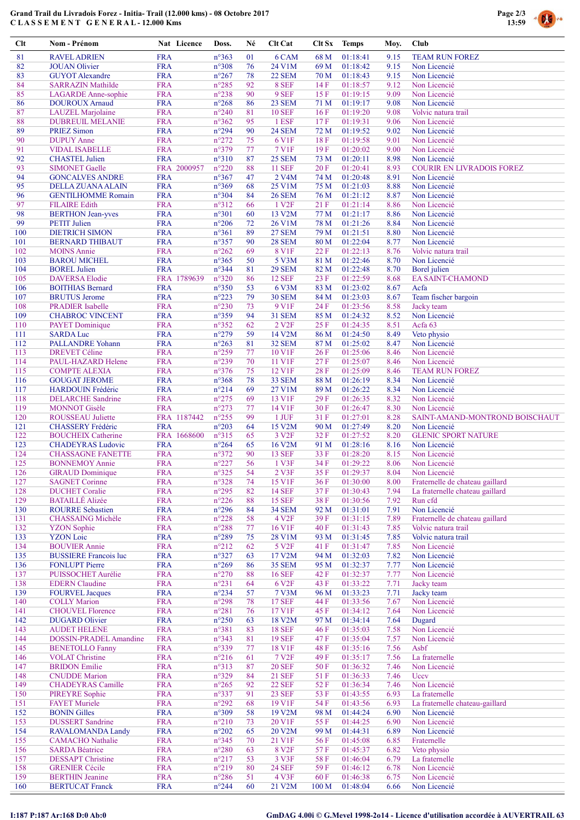# Grand Trail du Livradois Forez - Initia- Trail (12.000 kms) - 08 Octobre 2017 C L A S S E M E N T G E N E R A L - 12.000 Kms



| Clt        | Nom - Prénom                                          | Nat Licence               | Doss.                            | Né       | Clt Cat                      | Clt Sx           | <b>Temps</b>         | Moy.         | Club                                                   |
|------------|-------------------------------------------------------|---------------------------|----------------------------------|----------|------------------------------|------------------|----------------------|--------------|--------------------------------------------------------|
| 81         | <b>RAVEL ADRIEN</b>                                   | <b>FRA</b>                | n°363                            | 01       | 6 CAM                        | 68 M             | 01:18:41             | 9.15         | <b>TEAM RUN FOREZ</b>                                  |
| 82         | <b>JOUAN</b> Olivier                                  | <b>FRA</b>                | $n^{\circ}308$                   | 76       | 24 V1M                       | 69 M             | 01:18:42             | 9.15         | Non Licencié                                           |
| 83         | <b>GUYOT</b> Alexandre                                | <b>FRA</b>                | $n^{\circ}267$                   | 78       | <b>22 SEM</b>                | 70 M             | 01:18:43             | 9.15         | Non Licencié                                           |
| 84         | <b>SARRAZIN Mathilde</b>                              | <b>FRA</b>                | $n^{\circ}285$                   | 92       | 8 SEF                        | 14F              | 01:18:57             | 9.12         | Non Licencié                                           |
| 85         | <b>LAGARDE</b> Anne-sophie                            | <b>FRA</b>                | $n^{\circ}238$                   | 90       | 9 SEF                        | 15F              | 01:19:15             | 9.09         | Non Licencié                                           |
| 86<br>87   | <b>DOUROUX Arnaud</b><br><b>LAUZEL</b> Marjolaine     | <b>FRA</b><br><b>FRA</b>  | $n^{\circ}268$<br>$n^{\circ}240$ | 86<br>81 | 23 SEM<br><b>10 SEF</b>      | 71 M<br>16F      | 01:19:17<br>01:19:20 | 9.08<br>9.08 | Non Licencié<br>Volvic natura trail                    |
| 88         | <b>DUBREUIL MELANIE</b>                               | <b>FRA</b>                | $n^{\circ}362$                   | 95       | 1 ESF                        | 17F              | 01:19:31             | 9.06         | Non Licencié                                           |
| 89         | <b>PRIEZ Simon</b>                                    | <b>FRA</b>                | n°294                            | 90       | <b>24 SEM</b>                | 72 M             | 01:19:52             | 9.02         | Non Licencié                                           |
| 90         | <b>DUPUY</b> Anne                                     | <b>FRA</b>                | $n^{\circ}272$                   | 75       | 6 V1F                        | 18F              | 01:19:58             | 9.01         | Non Licencié                                           |
| 91         | <b>VIDAL ISABELLE</b>                                 | <b>FRA</b>                | n°379                            | 77       | <b>7 V1F</b>                 | 19F              | 01:20:02             | 9.00         | Non Licencié                                           |
| 92         | <b>CHASTEL Julien</b>                                 | <b>FRA</b>                | $n^{\circ}310$                   | 87       | <b>25 SEM</b>                | 73 M             | 01:20:11             | 8.98         | Non Licencié                                           |
| 93         | <b>SIMONET Gaelle</b>                                 | FRA 2000957               | $n^{\circ}220$                   | 88       | <b>11 SEF</b>                | 20 F             | 01:20:41             | 8.93         | <b>COURIR EN LIVRADOIS FOREZ</b>                       |
| 94<br>95   | <b>GONCALVES ANDRE</b>                                | <b>FRA</b><br><b>FRA</b>  | $n^{\circ}367$<br>n°369          | 47<br>68 | 2 V <sub>4</sub> M<br>25 V1M | 74 M<br>75 M     | 01:20:48<br>01:21:03 | 8.91<br>8.88 | Non Licencié<br>Non Licencié                           |
| 96         | DELLA ZUANA ALAIN<br><b>GENTILHOMME Romain</b>        | <b>FRA</b>                | n°304                            | 84       | <b>26 SEM</b>                | 76 M             | 01:21:12             | 8.87         | Non Licencié                                           |
| 97         | <b>FILAIRE Edith</b>                                  | <b>FRA</b>                | $n^{\circ}312$                   | 66       | 1 V <sub>2F</sub>            | 21F              | 01:21:14             | 8.86         | Non Licencié                                           |
| 98         | <b>BERTHON Jean-yves</b>                              | <b>FRA</b>                | $n^{\circ}301$                   | 60       | 13 V2M                       | 77 M             | 01:21:17             | 8.86         | Non Licencié                                           |
| 99         | <b>PETIT Julien</b>                                   | <b>FRA</b>                | $n^{\circ}206$                   | 72       | 26 V1M                       | 78 M             | 01:21:26             | 8.84         | Non Licencié                                           |
| 100        | <b>DIETRICH SIMON</b>                                 | <b>FRA</b>                | $n^{\circ}361$                   | 89       | <b>27 SEM</b>                | 79 M             | 01:21:51             | 8.80         | Non Licencié                                           |
| 101        | <b>BERNARD THIBAUT</b>                                | <b>FRA</b>                | n°357                            | 90       | <b>28 SEM</b>                | 80 M             | 01:22:04             | 8.77         | Non Licencié                                           |
| 102        | <b>MOINS Annie</b>                                    | <b>FRA</b>                | $n^{\circ}262$                   | 69       | <b>8 V1F</b>                 | 22F              | 01:22:13             | 8.76         | Volvic natura trail                                    |
| 103<br>104 | <b>BAROU MICHEL</b><br><b>BOREL Julien</b>            | <b>FRA</b><br><b>FRA</b>  | $n^{\circ}365$<br>n°344          | 50<br>81 | 5 V3M<br><b>29 SEM</b>       | 81 M<br>82 M     | 01:22:46<br>01:22:48 | 8.70<br>8.70 | Non Licencié<br>Borel julien                           |
| 105        | <b>DAVERSA Elodie</b>                                 | FRA 1789639               | $n^{\circ}320$                   | 86       | <b>12 SEF</b>                | 23 F             | 01:22:59             | 8.68         | <b>EA SAINT-CHAMOND</b>                                |
| 106        | <b>BOITHIAS Bernard</b>                               | <b>FRA</b>                | $n^{\circ}350$                   | 53       | 6 V3M                        | 83 M             | 01:23:02             | 8.67         | Acfa                                                   |
| 107        | <b>BRUTUS Jerome</b>                                  | <b>FRA</b>                | $n^{\circ}223$                   | 79       | <b>30 SEM</b>                | 84 M             | 01:23:03             | 8.67         | Team fischer bargoin                                   |
| 108        | <b>PRADIER</b> Isabelle                               | <b>FRA</b>                | $n^{\circ}230$                   | 73       | 9 V1F                        | 24 F             | 01:23:56             | 8.58         | Jacky team                                             |
| 109        | <b>CHABROC VINCENT</b>                                | <b>FRA</b>                | $n^{\circ}359$                   | 94       | <b>31 SEM</b>                | 85 M             | 01:24:32             | 8.52         | Non Licencié                                           |
| 110        | <b>PAYET</b> Dominique                                | <b>FRA</b>                | $n^{\circ}352$                   | 62       | 2 V <sub>2F</sub>            | 25 F             | 01:24:35             | 8.51         | Acfa <sub>63</sub>                                     |
| 111        | <b>SARDA Luc</b>                                      | <b>FRA</b>                | $n^{\circ}279$                   | 59       | 14 V2M                       | 86 M             | 01:24:50             | 8.49         | Veto physio                                            |
| 112        | <b>PALLANDRE Yohann</b>                               | <b>FRA</b>                | $n^{\circ}263$                   | 81<br>77 | 32 SEM                       | 87 M             | 01:25:02             | 8.47         | Non Licencié                                           |
| 113<br>114 | <b>DREVET Céline</b><br>PAUL-HAZARD Helene            | <b>FRA</b><br><b>FRA</b>  | $n^{\circ}259$<br>$n^{\circ}239$ | 70       | 10 V1F<br>11 V1F             | 26F<br>27F       | 01:25:06<br>01:25:07 | 8.46<br>8.46 | Non Licencié<br>Non Licencié                           |
| 115        | <b>COMPTE ALEXIA</b>                                  | <b>FRA</b>                | $n^{\circ}376$                   | 75       | 12 V1F                       | 28F              | 01:25:09             | 8.46         | <b>TEAM RUN FOREZ</b>                                  |
| 116        | <b>GOUGAT JEROME</b>                                  | <b>FRA</b>                | $n^{\circ}368$                   | 78       | 33 SEM                       | 88 M             | 01:26:19             | 8.34         | Non Licencié                                           |
| 117        | HARDOUIN Frédéric                                     | <b>FRA</b>                | $n^{\circ}214$                   | 69       | 27 V1M                       | 89 M             | 01:26:22             | 8.34         | Non Licencié                                           |
| 118        | <b>DELARCHE</b> Sandrine                              | <b>FRA</b>                | $n^{\circ}275$                   | 69       | 13 V1F                       | 29F              | 01:26:35             | 8.32         | Non Licencié                                           |
| 119        | <b>MONNOT</b> Gisèle                                  | <b>FRA</b>                | $n^{\circ}273$                   | 77       | 14 V1F                       | 30F              | 01:26:47             | 8.30         | Non Licencié                                           |
| 120        | <b>ROUSSEAU Juliette</b>                              | FRA 1187442               | $n^{\circ}255$                   | 99       | $1$ JUF                      | 31 F             | 01:27:01             | 8.28         | SAINT-AMAND-MONTROND BOISCHAUT                         |
| 121        | CHASSERY Frédéric                                     | <b>FRA</b>                | $n^{\circ}203$                   | 64       | 15 V2M                       | 90 M             | 01:27:49             | 8.20         | Non Licencié                                           |
| 122<br>123 | <b>BOUCHEIX Catherine</b><br><b>CHADEYRAS Ludovic</b> | FRA 1668600<br><b>FRA</b> | $n^{\circ}315$<br>$n^{\circ}264$ | 65<br>65 | 3 V <sub>2F</sub><br>16 V2M  | 32 F<br>91 M     | 01:27:52<br>01:28:16 | 8.20<br>8.16 | <b>GLENIC SPORT NATURE</b><br>Non Licencié             |
| 124        | <b>CHASSAGNE FANETTE</b>                              | <b>FRA</b>                | $n^{\circ}372$                   | 90       | <b>13 SEF</b>                | 33 F             | 01:28:20             | 8.15         | Non Licencié                                           |
| 125        | <b>BONNEMOY Annie</b>                                 | <b>FRA</b>                | $n^{\circ}227$                   | 56       | 1 <sup>V3F</sup>             | 34 F             | 01:29:22             | 8.06         | Non Licencié                                           |
| 126        | <b>GIRAUD</b> Dominique                               | <b>FRA</b>                | $n^{\circ}325$                   | 54       | 2 V3F                        | 35 F             | 01:29:37             | 8.04         | Non Licencié                                           |
| 127        | <b>SAGNET Corinne</b>                                 | <b>FRA</b>                | n°328                            | 74       | 15 V1F                       | 36 F             | 01:30:00             | 8.00         | Fraternelle de chateau gaillard                        |
| 128        | <b>DUCHET</b> Coralie                                 | <b>FRA</b>                | $n^{\circ}295$                   | 82       | <b>14 SEF</b>                | 37F              | 01:30:43             | 7.94         | La fraternelle chateau gaillard                        |
| 129        | <b>BATAILLÉ Alizée</b>                                | <b>FRA</b>                | $n^{\circ}226$                   | 88       | <b>15 SEF</b>                | 38F              | 01:30:56             | 7.92         | Run cfd                                                |
| 130        | <b>ROURRE Sebastien</b>                               | <b>FRA</b>                | $n^{\circ}296$                   | 84       | <b>34 SEM</b>                | 92 M             | 01:31:01             | 7.91         | Non Licencié                                           |
| 131<br>132 | <b>CHASSAING Michèle</b><br><b>YZON</b> Sophie        | <b>FRA</b><br><b>FRA</b>  | $n^{\circ}228$<br>$n^{\circ}288$ | 58<br>77 | 4 V <sub>2F</sub><br>16 V1F  | 39 F<br>40 F     | 01:31:15<br>01:31:43 | 7.89<br>7.85 | Fraternelle de chateau gaillard<br>Volvic natura trail |
| 133        | <b>YZON</b> Loic                                      | <b>FRA</b>                | $n^{\circ}289$                   | 75       | 28 V1M                       | 93 M             | 01:31:45             | 7.85         | Volvic natura trail                                    |
| 134        | <b>BOUVIER Annie</b>                                  | <b>FRA</b>                | $n^{\circ}212$                   | 62       | 5 V <sub>2F</sub>            | 41 F             | 01:31:47             | 7.85         | Non Licencié                                           |
| 135        | <b>BUSSIERE Francois luc</b>                          | <b>FRA</b>                | $n^{\circ}327$                   | 63       | 17 V2M                       | 94 M             | 01:32:03             | 7.82         | Non Licencié                                           |
| 136        | <b>FONLUPT Pierre</b>                                 | <b>FRA</b>                | $n^{\circ}269$                   | 86       | <b>35 SEM</b>                | 95 M             | 01:32:37             | 7.77         | Non Licencié                                           |
| 137        | PUISSOCHET Aurélie                                    | <b>FRA</b>                | $n^{\circ}270$                   | 88       | <b>16 SEF</b>                | 42 F             | 01:32:37             | 7.77         | Non Licencié                                           |
| 138        | <b>EDERN</b> Claudine                                 | <b>FRA</b>                | $n^{\circ}231$                   | 64       | 6 V <sub>2F</sub>            | 43 F             | 01:33:22             | 7.71         | Jacky team                                             |
| 139        | <b>FOURVEL Jacques</b>                                | <b>FRA</b>                | $n^{\circ}234$                   | 57       | 7 V3M                        | 96 M             | 01:33:23             | 7.71         | Jacky team                                             |
| 140<br>141 | <b>COLLY Marion</b><br><b>CHOUVEL Florence</b>        | <b>FRA</b><br><b>FRA</b>  | $n^{\circ}298$<br>$n^{\circ}281$ | 78<br>76 | <b>17 SEF</b><br>17 V1F      | 44 F<br>45 F     | 01:33:56<br>01:34:12 | 7.67<br>7.64 | Non Licencié<br>Non Licencié                           |
| 142        | <b>DUGARD Olivier</b>                                 | <b>FRA</b>                | $n^{\circ}250$                   | 63       | 18 V2M                       | 97 M             | 01:34:14             | 7.64         | Dugard                                                 |
| 143        | <b>AUDET HELENE</b>                                   | <b>FRA</b>                | n°381                            | 83       | <b>18 SEF</b>                | 46 F             | 01:35:03             | 7.58         | Non Licencié                                           |
| 144        | DOSSIN-PRADEL Amandine                                | <b>FRA</b>                | $n^{\circ}343$                   | 81       | <b>19 SEF</b>                | 47 F             | 01:35:04             | 7.57         | Non Licencié                                           |
| 145        | <b>BENETOLLO Fanny</b>                                | <b>FRA</b>                | n°339                            | 77       | 18 V1F                       | 48 F             | 01:35:16             | 7.56         | Asbf                                                   |
| 146        | <b>VOLAT Christine</b>                                | <b>FRA</b>                | $n^{\circ}216$                   | 61       | 7 V <sub>2F</sub>            | 49 F             | 01:35:17             | 7.56         | La fraternelle                                         |
| 147        | <b>BRIDON</b> Emilie                                  | <b>FRA</b>                | $n^{\circ}313$                   | 87       | <b>20 SEF</b>                | 50F              | 01:36:32             | 7.46         | Non Licencié                                           |
| 148        | <b>CNUDDE</b> Marion                                  | <b>FRA</b>                | n°329                            | 84       | <b>21 SEF</b>                | 51 F             | 01:36:33             | 7.46         | <b>Uccv</b>                                            |
| 149        | <b>CHADEYRAS</b> Camille                              | <b>FRA</b>                | $n^{\circ}265$                   | 92       | <b>22 SEF</b>                | 52 F             | 01:36:34             | 7.46         | Non Licencié                                           |
| 150<br>151 | <b>PIREYRE Sophie</b><br><b>FAYET Muriele</b>         | <b>FRA</b><br><b>FRA</b>  | n°337<br>$n^{\circ}292$          | 91<br>68 | <b>23 SEF</b><br>19 V1F      | 53 F<br>54 F     | 01:43:55<br>01:43:56 | 6.93<br>6.93 | La fraternelle<br>La fraternelle chateau-gaillard      |
| 152        | <b>BONIN Gilles</b>                                   | <b>FRA</b>                | n°309                            | 58       | 19 V2M                       | 98 M             | 01:44:24             | 6.90         | Non Licencié                                           |
| 153        | <b>DUSSERT</b> Sandrine                               | <b>FRA</b>                | $n^{\circ}210$                   | 73       | 20 V1F                       | 55F              | 01:44:25             | 6.90         | Non Licencié                                           |
| 154        | <b>RAVALOMANDA Landy</b>                              | <b>FRA</b>                | $n^{\circ}202$                   | 65       | 20 V2M                       | 99 M             | 01:44:31             | 6.89         | Non Licencié                                           |
| 155        | <b>CAMACHO</b> Nathalie                               | <b>FRA</b>                | $n^{\circ}345$                   | 70       | 21 V1F                       | 56F              | 01:45:08             | 6.85         | Fraternelle                                            |
| 156        | <b>SARDA Béatrice</b>                                 | <b>FRA</b>                | $n^{\circ}280$                   | 63       | 8 V <sub>2F</sub>            | 57 F             | 01:45:37             | 6.82         | Veto physio                                            |
| 157        | <b>DESSAPT Christine</b>                              | <b>FRA</b>                | $n^{\circ}217$                   | 53       | 3 V3F                        | 58 F             | 01:46:04             | 6.79         | La fraternelle                                         |
| 158<br>159 | <b>GRENIER Cécile</b><br><b>BERTHIN</b> Jeanine       | <b>FRA</b>                | $n^{\circ}219$<br>$n^{\circ}286$ | 80<br>51 | <b>24 SEF</b><br>4 V3F       | 59 F<br>60F      | 01:46:12             | 6.78<br>6.75 | Non Licencié<br>Non Licencié                           |
| 160        | <b>BERTUCAT Franck</b>                                | <b>FRA</b><br><b>FRA</b>  | $n^{\circ}244$                   | 60       | 21 V2M                       | 100 <sub>M</sub> | 01:46:38<br>01:48:04 | 6.66         | Non Licencié                                           |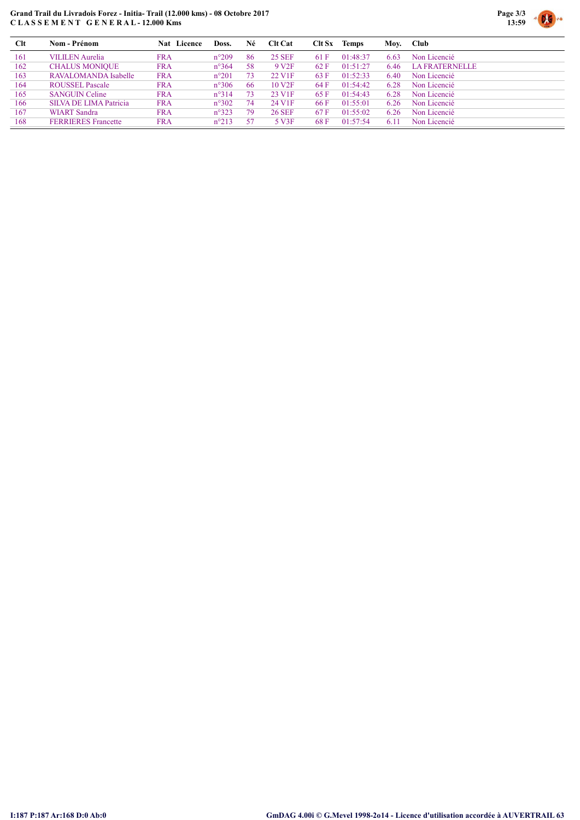### Grand Trail du Livradois Forez - Initia- Trail (12.000 kms) - 08 Octobre 2017 C L A S S E M E N T G E N E R A L - 12.000 Kms



| Clt | Nom - Prénom               | <b>Nat</b> Licence | Doss.          | Né | <b>Clt Cat</b>     | Clt Sx | <b>Temps</b> | Moy. | Club           |
|-----|----------------------------|--------------------|----------------|----|--------------------|--------|--------------|------|----------------|
| 161 | <b>VILILEN</b> Aurelia     | <b>FRA</b>         | $n^{\circ}209$ | 86 | <b>25 SEF</b>      | 61 F   | 01:48:37     | 6.63 | Non Licencié   |
| 162 | <b>CHALUS MONIQUE</b>      | <b>FRA</b>         | $n^{\circ}364$ | 58 | 9 V <sub>2F</sub>  | 62 F   | 01:51:27     | 6.46 | LA FRATERNELLE |
| 163 | RAVALOMANDA Isabelle       | <b>FRA</b>         | $n^{\circ}201$ | 73 | 22 V <sub>1F</sub> | 63 F   | 01:52:33     | 6.40 | Non Licencié   |
| 164 | <b>ROUSSEL Pascale</b>     | <b>FRA</b>         | $n^{\circ}306$ | 66 | 10 <sub>VI</sub>   | 64 F   | 01:54:42     | 6.28 | Non Licencié   |
| 165 | <b>SANGUIN Celine</b>      | <b>FRA</b>         | $n^{\circ}314$ | 73 | 23 V <sub>1F</sub> | 65 F   | 01:54:43     | 6.28 | Non Licencié   |
| 166 | SILVA DE LIMA Patricia     | <b>FRA</b>         | $n^{\circ}302$ | 74 | 24 V1F             | 66 F   | 01:55:01     | 6.26 | Non Licencié   |
| 167 | <b>WIART</b> Sandra        | <b>FRA</b>         | $n^{\circ}323$ | 79 | <b>26 SEF</b>      | 67 F   | 01:55:02     | 6.26 | Non Licencié   |
| 168 | <b>FERRIERES</b> Francette | <b>FRA</b>         | $n^{\circ}213$ | 57 | 5 V3F              | 68 F   | 01:57:54     | 6.11 | Non Licencié   |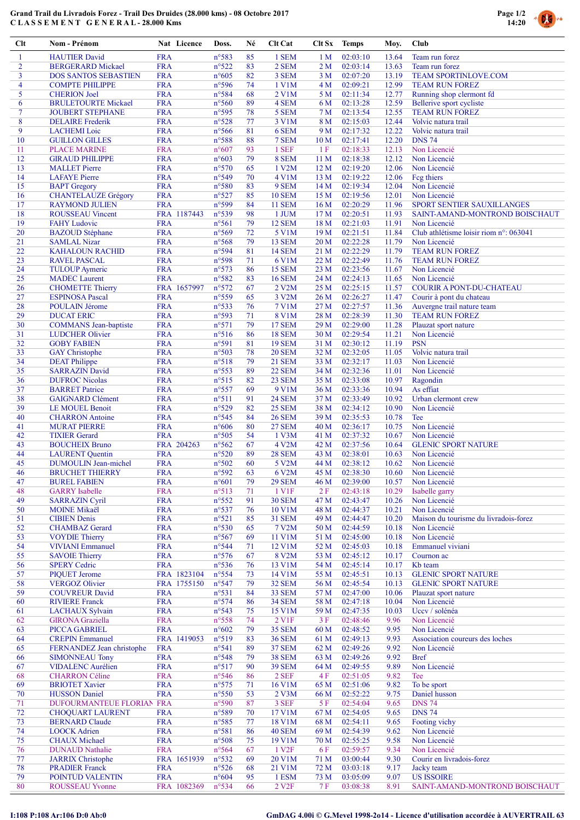# Grand Trail du Livradois Forez - Trail Des Druides (28.000 kms) - 08 Octobre 2017 C L A S S E M E N T G E N E R A L - 28.000 Kms



| $Cl$ t         | Nom - Prénom                                          |                          | Nat Licence | Doss.                            | Né       | Clt Cat                        | Clt Sx                  | <b>Temps</b>         | Moy.           | Club                                                  |
|----------------|-------------------------------------------------------|--------------------------|-------------|----------------------------------|----------|--------------------------------|-------------------------|----------------------|----------------|-------------------------------------------------------|
| 1              | <b>HAUTIER David</b>                                  | <b>FRA</b>               |             | n°583                            | 85       | 1 SEM                          | 1 <sub>M</sub>          | 02:03:10             | 13.64          | Team run forez                                        |
| $\overline{2}$ | <b>BERGERARD Mickael</b>                              | <b>FRA</b>               |             | $n^{\circ}522$                   | 83       | 2 SEM                          | 2 <sub>M</sub>          | 02:03:14             | 13.63          | Team run forez                                        |
| 3              | <b>DOS SANTOS SEBASTIEN</b>                           | <b>FRA</b>               |             | $n^{\circ}605$                   | 82       | 3 SEM                          | 3M                      | 02:07:20             | 13.19          | <b>TEAM SPORTINLOVE.COM</b>                           |
| 4<br>5         | <b>COMPTE PHILIPPE</b>                                | <b>FRA</b><br><b>FRA</b> |             | n°596<br>n°584                   | 74<br>68 | 1 V1M<br>2 V1M                 | 4 M                     | 02:09:21<br>02:11:34 | 12.99<br>12.77 | <b>TEAM RUN FOREZ</b>                                 |
| 6              | <b>CHERION</b> Joel<br><b>BRULETOURTE Mickael</b>     | <b>FRA</b>               |             | n°560                            | 89       | 4 SEM                          | 5 M<br>6 M              | 02:13:28             | 12.59          | Running shop clermont fd<br>Bellerive sport cycliste  |
| 7              | <b>JOUBERT STEPHANE</b>                               | <b>FRA</b>               |             | n°595                            | 78       | 5 SEM                          | 7 M                     | 02:13:54             | 12.55          | <b>TEAM RUN FOREZ</b>                                 |
| 8              | <b>DELAIRE</b> Frederik                               | <b>FRA</b>               |             | n°528                            | 77       | 3 V1M                          | 8 M                     | 02:15:03             | 12.44          | Volvic natura trail                                   |
| 9              | <b>LACHEMI</b> Loic                                   | <b>FRA</b>               |             | $n^{\circ}$ 566                  | 81       | 6 SEM                          | 9 M                     | 02:17:32             | 12.22          | Volvic natura trail                                   |
| 10             | <b>GUILLON GILLES</b>                                 | <b>FRA</b>               |             | n°588                            | 88       | 7 SEM                          | 10 <sub>M</sub>         | 02:17:41             | 12.20          | <b>DNS 74</b>                                         |
| 11<br>12       | <b>PLACE MARINE</b><br><b>GIRAUD PHILIPPE</b>         | <b>FRA</b><br><b>FRA</b> |             | $n^{\circ}607$<br>$n^{\circ}603$ | 93<br>79 | 1 SEF<br>8 SEM                 | 1F<br>11 <sub>M</sub>   | 02:18:33<br>02:18:38 | 12.13<br>12.12 | Non Licencié<br>Non Licencié                          |
| 13             | <b>MALLET</b> Pierre                                  | <b>FRA</b>               |             | n°570                            | 65       | 1 V2M                          | 12M                     | 02:19:20             | 12.06          | Non Licencié                                          |
| 14             | <b>LAFAYE</b> Pierre                                  | <b>FRA</b>               |             | n°549                            | 70       | 4 V1M                          | 13 M                    | 02:19:22             | 12.06          | Feg thiers                                            |
| 15             | <b>BAPT</b> Gregory                                   | <b>FRA</b>               |             | n°580                            | 83       | 9 SEM                          | 14M                     | 02:19:34             | 12.04          | Non Licencié                                          |
| 16             | <b>CHANTELAUZE Grégory</b>                            | <b>FRA</b>               |             | n°527                            | 85       | <b>10 SEM</b>                  | 15 M                    | 02:19:56             | 12.01          | Non Licencié                                          |
| 17             | <b>RAYMOND JULIEN</b>                                 | <b>FRA</b>               |             | n°599                            | 84<br>98 | <b>11 SEM</b>                  | 16 <sub>M</sub>         | 02:20:29             | 11.96          | SPORT SENTIER SAUXILLANGES                            |
| 18<br>19       | <b>ROUSSEAU Vincent</b><br><b>FAHY</b> Ludovic        | <b>FRA</b>               | FRA 1187443 | n°539<br>$n^{\circ}561$          | 79       | 1 JUM<br><b>12 SEM</b>         | 17 <sub>M</sub><br>18 M | 02:20:51<br>02:21:03 | 11.93<br>11.91 | SAINT-AMAND-MONTROND BOISCHAUT<br>Non Licencié        |
| 20             | <b>BAZOUD</b> Stéphane                                | <b>FRA</b>               |             | n°569                            | 72       | 5 V1M                          | 19 <sub>M</sub>         | 02:21:51             | 11.84          | Club athlétisme loisir riom n°: 063041                |
| 21             | <b>SAMLAL Nizar</b>                                   | <b>FRA</b>               |             | $n^{\circ}$ 568                  | 79       | 13 SEM                         | 20 M                    | 02:22:28             | 11.79          | Non Licencié                                          |
| 22             | KAHALOUN RACHID                                       | <b>FRA</b>               |             | n°594                            | 81       | <b>14 SEM</b>                  | 21 M                    | 02:22:29             | 11.79          | <b>TEAM RUN FOREZ</b>                                 |
| 23             | <b>RAVEL PASCAL</b>                                   | <b>FRA</b>               |             | n°598                            | 71       | 6 V1M                          | 22 M                    | 02:22:49             | 11.76          | <b>TEAM RUN FOREZ</b>                                 |
| 24             | <b>TULOUP</b> Aymeric                                 | <b>FRA</b>               |             | n°573                            | 86       | <b>15 SEM</b>                  | 23 M                    | 02:23:56             | 11.67          | Non Licencié                                          |
| 25<br>26       | <b>MADEC</b> Laurent<br><b>CHOMETTE Thierry</b>       | <b>FRA</b>               | FRA 1657997 | n°582<br>n°572                   | 83<br>67 | <b>16 SEM</b><br>2 V2M         | 24 M<br>25 M            | 02:24:13<br>02:25:15 | 11.65<br>11.57 | Non Licencié<br>COURIR A PONT-DU-CHATEAU              |
| 27             | <b>ESPINOSA Pascal</b>                                | <b>FRA</b>               |             | n°559                            | 65       | 3 V2M                          | 26 M                    | 02:26:27             | 11.47          | Courir à pont du chateau                              |
| 28             | POULAIN Jérome                                        | <b>FRA</b>               |             | n°533                            | 76       | <b>7 V1M</b>                   | 27 M                    | 02:27:57             | 11.36          | Auvergne trail nature team                            |
| 29             | <b>DUCAT ERIC</b>                                     | <b>FRA</b>               |             | n°593                            | 71       | <b>8 V1M</b>                   | 28 M                    | 02:28:39             | 11.30          | <b>TEAM RUN FOREZ</b>                                 |
| 30             | <b>COMMANS</b> Jean-baptiste                          | <b>FRA</b>               |             | n°571                            | 79       | <b>17 SEM</b>                  | 29 M                    | 02:29:00             | 11.28          | Plauzat sport nature                                  |
| 31             | <b>LUDCHER Olivier</b>                                | <b>FRA</b>               |             | $n^{\circ}516$                   | 86       | <b>18 SEM</b>                  | 30 M                    | 02:29:54             | 11.21<br>11.19 | Non Licencié<br><b>PSN</b>                            |
| 32<br>33       | <b>GOBY FABIEN</b><br><b>GAY</b> Christophe           | <b>FRA</b><br><b>FRA</b> |             | n°591<br>n°503                   | 81<br>78 | <b>19 SEM</b><br><b>20 SEM</b> | 31 M<br>32 M            | 02:30:12<br>02:32:05 | 11.05          | Volvic natura trail                                   |
| 34             | <b>DEAT Philippe</b>                                  | <b>FRA</b>               |             | $n^{\circ}518$                   | 79       | <b>21 SEM</b>                  | 33 M                    | 02:32:17             | 11.03          | Non Licencié                                          |
| 35             | <b>SARRAZIN David</b>                                 | <b>FRA</b>               |             | n°553                            | 89       | <b>22 SEM</b>                  | 34 M                    | 02:32:36             | 11.01          | Non Licencié                                          |
| 36             | <b>DUFROC Nicolas</b>                                 | <b>FRA</b>               |             | n°515                            | 82       | 23 SEM                         | 35 M                    | 02:33:08             | 10.97          | Ragondin                                              |
| 37             | <b>BARRET</b> Patrice                                 | <b>FRA</b>               |             | n°557                            | 69       | 9 V1M                          | 36 M                    | 02:33:36             | 10.94          | As effiat                                             |
| 38<br>39       | <b>GAIGNARD Clément</b>                               | <b>FRA</b><br><b>FRA</b> |             | n°511<br>n°529                   | 91<br>82 | <b>24 SEM</b><br><b>25 SEM</b> | 37 M<br>38 M            | 02:33:49<br>02:34:12 | 10.92<br>10.90 | Urban clermont crew<br>Non Licencié                   |
| 40             | LE MOUEL Benoit<br><b>CHARRON</b> Antoine             | <b>FRA</b>               |             | $n^{\circ}545$                   | 84       | <b>26 SEM</b>                  | 39 M                    | 02:35:53             | 10.78          | Tee                                                   |
| 41             | <b>MURAT PIERRE</b>                                   | <b>FRA</b>               |             | $n^{\circ}606$                   | 80       | <b>27 SEM</b>                  | 40 M                    | 02:36:17             | 10.75          | Non Licencié                                          |
| 42             | <b>TIXIER Gerard</b>                                  | <b>FRA</b>               |             | n°505                            | 54       | 1 V3M                          | 41 M                    | 02:37:32             | 10.67          | Non Licencié                                          |
| 43             | <b>BOUCHEIX Bruno</b>                                 |                          | FRA 204263  | $n^{\circ}562$                   | 67       | 4 V2M                          | 42 M                    | 02:37:56             | 10.64          | <b>GLENIC SPORT NATURE</b>                            |
| 44             | <b>LAURENT</b> Quentin                                | <b>FRA</b>               |             | $n^{\circ}520$                   | 89       | <b>28 SEM</b>                  | 43 M                    | 02:38:01             | 10.63          | Non Licencié                                          |
| 45<br>46       | <b>DUMOULIN</b> Jean-michel<br><b>BRUCHET THIERRY</b> | <b>FRA</b><br><b>FRA</b> |             | n°502<br>n°592                   | 60<br>63 | 5 V2M<br>6 V2M                 | 44 M<br>45 M            | 02:38:12<br>02:38:30 | 10.62<br>10.60 | Non Licencié<br>Non Licencié                          |
| 47             | <b>BUREL FABIEN</b>                                   | <b>FRA</b>               |             | $n^{\circ}601$                   | 79       | <b>29 SEM</b>                  | 46 M                    | 02:39:00             | 10.57          | Non Licencié                                          |
| 48             | <b>GARRY</b> Isabelle                                 | <b>FRA</b>               |             | n°513                            | 71       | 1 V1F                          | 2F                      | 02:43:18             | 10.29          | Isabelle garry                                        |
| 49             | <b>SARRAZIN Cyril</b>                                 | <b>FRA</b>               |             | $n^{\circ}552$                   | 91       | <b>30 SEM</b>                  | 47 M                    | 02:43:47             | 10.26          | Non Licencié                                          |
| 50             | <b>MOINE Mikaël</b>                                   | <b>FRA</b>               |             | $n^{\circ}537$                   | 76       | 10 V1M                         | 48 M                    | 02:44:37             | 10.21          | Non Licencié                                          |
| 51<br>52       | <b>CIBIEN Denis</b><br><b>CHAMBAZ</b> Gerard          | <b>FRA</b><br><b>FRA</b> |             | $n^{\circ}521$<br>$n^{\circ}530$ | 85<br>65 | <b>31 SEM</b><br>7 V2M         | 49 M<br>50 M            | 02:44:47<br>02:44:59 | 10.20<br>10.18 | Maison du tourisme du livradois-forez<br>Non Licencié |
| 53             | <b>VOYDIE Thierry</b>                                 | <b>FRA</b>               |             | n°567                            | 69       | 11 V1M                         | 51 M                    | 02:45:00             | 10.18          | Non Licencié                                          |
| 54             | <b>VIVIANI</b> Emmanuel                               | <b>FRA</b>               |             | $n^{\circ}$ 544                  | 71       | 12 V1M                         | 52 M                    | 02:45:03             | 10.18          | Emmanuel viviani                                      |
| 55             | <b>SAVOIE Thierry</b>                                 | <b>FRA</b>               |             | n°576                            | 67       | 8 V2M                          | 53 M                    | 02:45:12             | 10.17          | Cournon ac                                            |
| 56             | <b>SPERY Cedric</b>                                   | <b>FRA</b>               |             | $n^{\circ}$ 536                  | 76       | 13 V1M                         | 54 M                    | 02:45:14             | 10.17          | Kb team                                               |
| 57             | <b>PIQUET Jerome</b>                                  |                          | FRA 1823104 | $n^{\circ}$ 554                  | 73       | 14 V1M                         | 55 M                    | 02:45:51             | 10.13          | <b>GLENIC SPORT NATURE</b>                            |
| 58<br>59       | <b>VERGOZ Olivier</b><br><b>COUVREUR David</b>        | <b>FRA</b>               | FRA 1755150 | n°547<br>n°531                   | 79<br>84 | <b>32 SEM</b><br>33 SEM        | 56 M<br>57 M            | 02:45:54<br>02:47:00 | 10.13<br>10.06 | <b>GLENIC SPORT NATURE</b><br>Plauzat sport nature    |
| 60             | <b>RIVIERE Franck</b>                                 | <b>FRA</b>               |             | n°574                            | 86       | <b>34 SEM</b>                  | 58 M                    | 02:47:18             | 10.04          | Non Licencié                                          |
| 61             | <b>LACHAUX</b> Sylvain                                | <b>FRA</b>               |             | n°543                            | 75       | 15 V1M                         | 59 M                    | 02:47:35             | 10.03          | Uccv / solénéa                                        |
| 62             | <b>GIRONA</b> Graziella                               | <b>FRA</b>               |             | $n^{\circ}$ 558                  | 74       | 2 V1F                          | 3F                      | 02:48:46             | 9.96           | Non Licencié                                          |
| 63             | PICCA GABRIEL                                         | <b>FRA</b>               |             | $n^{\circ}602$                   | 79       | <b>35 SEM</b>                  | 60 M                    | 02:48:52             | 9.95           | Non Licencié                                          |
| 64<br>65       | <b>CREPIN Emmanuel</b><br>FERNANDEZ Jean christophe   | <b>FRA</b>               | FRA 1419053 | n°519<br>n°541                   | 83<br>89 | <b>36 SEM</b><br><b>37 SEM</b> | 61 M<br>62 M            | 02:49:13<br>02:49:26 | 9.93<br>9.92   | Association coureurs des loches<br>Non Licencié       |
| 66             | <b>SIMONNEAU Tony</b>                                 | <b>FRA</b>               |             | $n^{\circ}548$                   | 79       | <b>38 SEM</b>                  | 63 M                    | 02:49:26             | 9.92           | <b>Bref</b>                                           |
| 67             | <b>VIDALENC Aurélien</b>                              | <b>FRA</b>               |             | n°517                            | 90       | <b>39 SEM</b>                  | 64 M                    | 02:49:55             | 9.89           | Non Licencié                                          |
| 68             | <b>CHARRON</b> Céline                                 | <b>FRA</b>               |             | $n^{\circ}$ 546                  | 86       | 2 SEF                          | 4F                      | 02:51:05             | 9.82           | Tee                                                   |
| 69             | <b>BRIOTET Xavier</b>                                 | <b>FRA</b>               |             | $n^{\circ}575$                   | 71       | 16 V1M                         | 65 M                    | 02:51:06             | 9.82           | To be sport                                           |
| 70             | <b>HUSSON</b> Daniel                                  | <b>FRA</b>               |             | $n^{\circ}550$                   | 53       | 2 V3M                          | 66 M                    | 02:52:22             | 9.75           | Daniel husson                                         |
| 71             | DUFOURMANTEUE FLORIAN FRA                             |                          |             | n°590                            | 87       | 3 SEF                          | 5F                      | 02:54:04             | 9.65           | <b>DNS 74</b>                                         |
| 72<br>73       | <b>CHOQUART LAURENT</b><br><b>BERNARD Claude</b>      | <b>FRA</b><br><b>FRA</b> |             | n°589<br>n°585                   | 70<br>77 | 17 V1M<br>18 V1M               | 67 M<br>68 M            | 02:54:05<br>02:54:11 | 9.65<br>9.65   | <b>DNS 74</b><br>Footing vichy                        |
| 74             | <b>LOOCK Adrien</b>                                   | <b>FRA</b>               |             | n°581                            | 86       | <b>40 SEM</b>                  | 69 M                    | 02:54:39             | 9.62           | Non Licencié                                          |
| 75             | <b>CHAUX</b> Michael                                  | <b>FRA</b>               |             | $n^{\circ}508$                   | 75       | 19 V1M                         | 70 M                    | 02:55:25             | 9.58           | Non Licencié                                          |
| 76             | <b>DUNAUD Nathalie</b>                                | <b>FRA</b>               |             | $n^{\circ}$ 564                  | 67       | 1 V <sub>2F</sub>              | 6F                      | 02:59:57             | 9.34           | Non Licencié                                          |
| 77             | <b>JARRIX</b> Christophe                              |                          | FRA 1651939 | $n^{\circ}532$                   | 69       | 20 V1M                         | 71 M                    | 03:00:44             | 9.30           | Courir en livradois-forez                             |
| 78<br>79       | <b>PRADIER Franck</b><br>POINTUD VALENTIN             | <b>FRA</b><br><b>FRA</b> |             | $n^{\circ}526$<br>$n^{\circ}604$ | 68<br>95 | 21 V1M<br>1 ESM                | 72 M<br>73 M            | 03:03:18<br>03:05:09 | 9.17<br>9.07   | Jacky team<br><b>US ISSOIRE</b>                       |
| 80             | <b>ROUSSEAU Yvonne</b>                                |                          | FRA 1082369 | $n^{\circ}$ 534                  | 66       | 2 V <sub>2</sub> F             | 7F                      | 03:08:38             | 8.91           | SAINT-AMAND-MONTROND BOISCHAUT                        |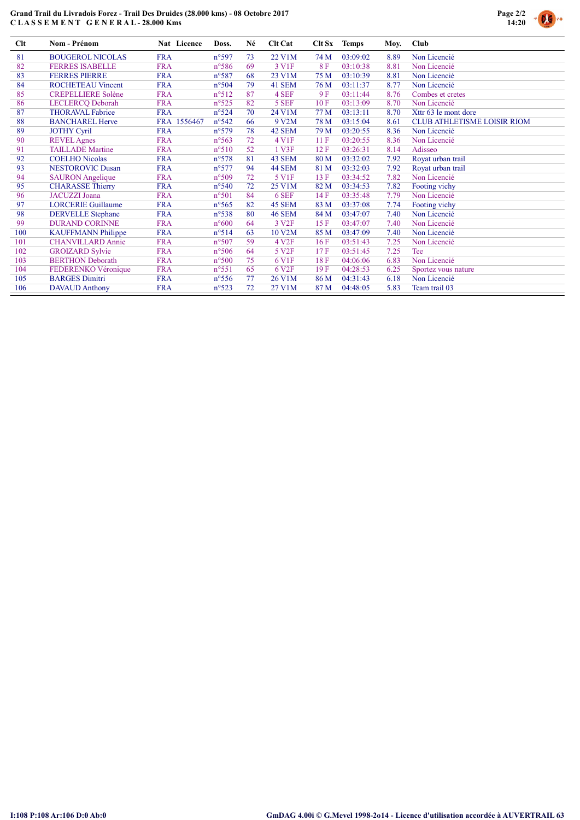## Grand Trail du Livradois Forez - Trail Des Druides (28.000 kms) - 08 Octobre 2017 C L A S S E M E N T G E N E R A L - 28.000 Kms



| Clt | <b>Nom - Prénom</b>       | Nat Licence | Doss.           | Né | <b>Clt Cat</b>    | Clt Sx | <b>Temps</b> | Moy. | <b>Club</b>                        |
|-----|---------------------------|-------------|-----------------|----|-------------------|--------|--------------|------|------------------------------------|
| 81  | <b>BOUGEROL NICOLAS</b>   | <b>FRA</b>  | $n^{\circ}597$  | 73 | 22 V1M            | 74 M   | 03:09:02     | 8.89 | Non Licencié                       |
| 82  | <b>FERRES ISABELLE</b>    | <b>FRA</b>  | $n^{\circ}586$  | 69 | 3 V <sub>IF</sub> | 8F     | 03:10:38     | 8.81 | Non Licencié                       |
| 83  | <b>FERRES PIERRE</b>      | <b>FRA</b>  | n°587           | 68 | 23 V1M            | 75 M   | 03:10:39     | 8.81 | Non Licencié                       |
| 84  | <b>ROCHETEAU Vincent</b>  | <b>FRA</b>  | $n^{\circ}504$  | 79 | 41 SEM            | 76 M   | 03:11:37     | 8.77 | Non Licencié                       |
| 85  | <b>CREPELLIERE Solène</b> | <b>FRA</b>  | $n^{\circ}512$  | 87 | 4 SEF             | 9 F    | 03:11:44     | 8.76 | Combes et cretes                   |
| 86  | LECLERCQ Deborah          | <b>FRA</b>  | $n^{\circ}525$  | 82 | 5 SEF             | 10F    | 03:13:09     | 8.70 | Non Licencié                       |
| 87  | <b>THORAVAL Fabrice</b>   | <b>FRA</b>  | $n^{\circ}524$  | 70 | 24 V1M            | 77 M   | 03:13:11     | 8.70 | Xttr 63 le mont dore               |
| 88  | <b>BANCHAREL Herve</b>    | FRA 1556467 | $n^{\circ}542$  | 66 | 9 V2M             | 78 M   | 03:15:04     | 8.61 | <b>CLUB ATHLETISME LOISIR RIOM</b> |
| 89  | <b>JOTHY Cyril</b>        | <b>FRA</b>  | $n^{\circ}579$  | 78 | 42 SEM            | 79 M   | 03:20:55     | 8.36 | Non Licencié                       |
| 90  | <b>REVEL</b> Agnes        | <b>FRA</b>  | $n^{\circ}563$  | 72 | 4 V1F             | 11F    | 03:20:55     | 8.36 | Non Licencié                       |
| 91  | <b>TAILLADE</b> Martine   | <b>FRA</b>  | $n^{\circ}510$  | 52 | 1 V3F             | 12F    | 03:26:31     | 8.14 | Adisseo                            |
| 92  | <b>COELHO</b> Nicolas     | <b>FRA</b>  | $n^{\circ}578$  | 81 | 43 SEM            | 80 M   | 03:32:02     | 7.92 | Royat urban trail                  |
| 93  | <b>NESTOROVIC Dusan</b>   | <b>FRA</b>  | $n^{\circ}577$  | 94 | 44 SEM            | 81 M   | 03:32:03     | 7.92 | Royat urban trail                  |
| 94  | <b>SAURON</b> Angelique   | <b>FRA</b>  | $n^{\circ}509$  | 72 | 5 V1F             | 13F    | 03:34:52     | 7.82 | Non Licencié                       |
| 95  | <b>CHARASSE Thierry</b>   | <b>FRA</b>  | $n^{\circ}540$  | 72 | 25 V1M            | 82 M   | 03:34:53     | 7.82 | Footing vichy                      |
| 96  | <b>JACUZZI</b> Joana      | <b>FRA</b>  | $n^{\circ}501$  | 84 | 6 SEF             | 14 F   | 03:35:48     | 7.79 | Non Licencié                       |
| 97  | <b>LORCERIE Guillaume</b> | <b>FRA</b>  | $n^{\circ}565$  | 82 | 45 SEM            | 83 M   | 03:37:08     | 7.74 | Footing vichy                      |
| 98  | <b>DERVELLE</b> Stephane  | <b>FRA</b>  | $n^{\circ}538$  | 80 | <b>46 SEM</b>     | 84 M   | 03:47:07     | 7.40 | Non Licencié                       |
| 99  | <b>DURAND CORINNE</b>     | <b>FRA</b>  | $n^{\circ}600$  | 64 | 3 V <sub>2F</sub> | 15F    | 03:47:07     | 7.40 | Non Licencié                       |
| 100 | <b>KAUFFMANN Philippe</b> | <b>FRA</b>  | $n^{\circ}514$  | 63 | 10 V2M            | 85 M   | 03:47:09     | 7.40 | Non Licencié                       |
| 101 | <b>CHANVILLARD Annie</b>  | <b>FRA</b>  | $n^{\circ}507$  | 59 | 4 V <sub>2F</sub> | 16F    | 03:51:43     | 7.25 | Non Licencié                       |
| 102 | <b>GROIZARD Sylvie</b>    | <b>FRA</b>  | $n^{\circ}506$  | 64 | 5 V <sub>2F</sub> | 17F    | 03:51:45     | 7.25 | Tee                                |
| 103 | <b>BERTHON Deborath</b>   | <b>FRA</b>  | $n^{\circ}500$  | 75 | 6 V <sub>1F</sub> | 18F    | 04:06:06     | 6.83 | Non Licencié                       |
| 104 | FEDERENKO Véronique       | <b>FRA</b>  | $n^{\circ}551$  | 65 | 6 V <sub>2F</sub> | 19F    | 04:28:53     | 6.25 | Sportez vous nature                |
| 105 | <b>BARGES Dimitri</b>     | <b>FRA</b>  | $n^{\circ}$ 556 | 77 | 26 V1M            | 86 M   | 04:31:43     | 6.18 | Non Licencié                       |
| 106 | <b>DAVAUD Anthony</b>     | <b>FRA</b>  | $n^{\circ}523$  | 72 | 27 V1M            | 87 M   | 04:48:05     | 5.83 | Team trail 03                      |